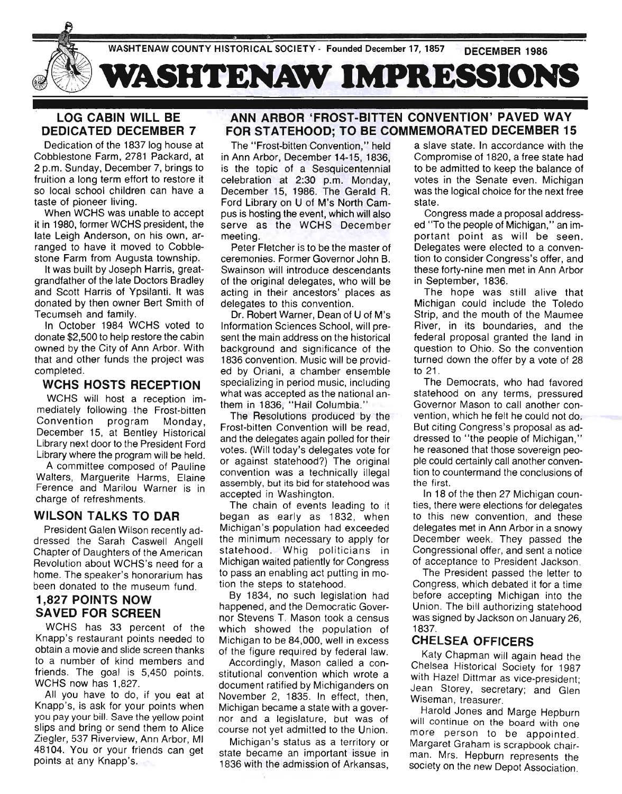

# **LOG CABIN WILL BE DEDICATED DECEMBER 7**

Dedication of the 1837 log house at Cobblestone Farm, 2781 Packard, at 2 p.m. Sunday, December 7, brings to fruition a long term effort to restore it so local school children can have a taste of pioneer living.

When WCHS was unable to accept it in 1980, former WCHS president, the late Leigh Anderson, on his own, arranged to have it moved to Cobblestone Farm from Augusta township.

It was built by Joseph Harris, greatgrandfather of the late Doctors Bradley and Scott Harris of Ypsilanti. It was donated by then owner Bert Smith of Tecumseh and family.

In October 1984 WCHS voted to donate \$2,500 to help restore the cabin owned by the City of Ann Arbor. With that and other funds the project was completed.

#### **WCHS HOSTS RECEPTION**

WCHS will host a reception immediately following the Frost-bitten Convention program Monday, December 15, at Bentley Historical Library next door to the President Ford Library where the program will be held.

A committee composed of Pauline Walters, Marguerite Harms, Elaine Ference and Marilou Warner is in charge of refreshments.

#### **WILSON TALKS TO DAR**

President Galen Wilson recently addressed the Sarah Caswell Angell Chapter of Daughters of the American Revolution about WCHS's need for a home. The speaker's honorarium has been donated to the museum fund.

# 1,827 **POINTS NOW SAVED FOR SCREEN**

WCHS has 33 percent of the Knapp's restaurant points needed to obtain a movie and slide screen thanks to a number of kind members and friends. The goal is 5,450 points. WCHS now has 1,827.

All you have to do, if you eat at Knapp's, is ask for your points when you pay your bill. Save the yellow point slips and bring or send them to Alice Ziegler, 537 Riverview, Ann Arbor, MI 48104. You or your friends can get points at any Knapp's.

# **ANN ARBOR 'FROST-BITTEN CONVENTION' PAVED WAY FOR STATEHOOD; TO BE COMMEMORATED DECEMBER 15**

The "Frost-bitten Convention," held in Ann Arbor, December 14-15, 1836. is the topic of a Sesquicentennial celebration at 2:30 p.m. Monday, December 15, 1986. The Gerald R. Ford Library on U of M's North Campus is hosting the event, which will also serve as the WCHS December meeting.

Peter Fletcher is to be the master of ceremonies. Former Governor John B. Swainson will introduce descendants of the original delegates, who will be acting in their ancestors' places as delegates to this convention.

Dr. Robert Warner, Dean of U of M's Information Sciences School, will present the main address on the historical background and significance of the 1836 convention. Music will be provided by Oriani, a chamber ensemble specializing in period music, including what was accepted as the national anthem in 1836, "Hail Columbia."

The Resolutions produced by the Frost-bitten Convention will be read, and the delegates again polled for their votes. (Will today's delegates vote for or against statehood?) The original convention was a technically illegal assembly, but its bid for statehood was accepted in Washington.

The chain of events leading to it began as early as 1832, when Michigan's population had exceeded the minimum necessary to apply for statehood. Whig politicians in Michigan waited patiently for Congress to pass an enabling act putting in motion the steps to statehood.

By 1834, no such legislation had happened, and the Democratic Governor Stevens T. Mason took a census which showed the population of Michigan to be 84,000, well in excess of the figure required by federal law.

Accordingly, Mason called a constitutional convention which wrote a document ratified by Michiganders on November 2, 1835. In effect, then, Michigan became a state with a governor and a legislature, but was of course not yet admitted to the Union.

Michigan's status as a territory or state became an important issue in 1836 with the admission of Arkansas,

a slave state. In accordance with the Compromise of 1820, a free state had to be admitted to keep the balance of votes in the Senate even. Michigan was the logical choice for the next free state.

Congress made a proposal addressed "To the people of Michigan," an important point as will be seen. Delegates were elected to a convention to consider Congress's offer, and these forty-nine men met in Ann Arbor in September, 1836.

The hope was still alive that Michigan could include the Toledo Strip, and the mouth of the Maumee River, in its boundaries, and the federal proposal granted the land in question to Ohio. So the convention turned down the offer by a vote of 28 to 21 .

The Democrats, who had favored statehood on any terms, pressured Governor Mason to call another convention, which he felt he could not do. But citing Congress's proposal as addressed to "the people of Michigan," he reasoned that those sovereign people could certainly call another convention to countermand the conclusions of the first.

In 18 of the then 27 Michigan counties, there were elections for delegates to this new convention, and these delegates met in Ann Arbor in a snowy December week. They passed the Congressional offer, and sent a notice of acceptance to President Jackson.

The President passed the letter to Congress, which debated it for a time before accepting Michigan into the Union. The bill authorizing statehood was signed by Jackson on January 26, 1837.

#### **CHELSEA OFFICERS**

Katy Chapman will again head the Chelsea Historical Society for 1987 with Hazel Dittmar as vice-president; Jean Storey, secretary; and Glen Wiseman, treasurer.

Harold Jones and Marge Hepburn will continue on the board with one more person to be appointed. Margaret Graham is scrapbook chairman. Mrs. Hepburn represents the society on the new Depot Association.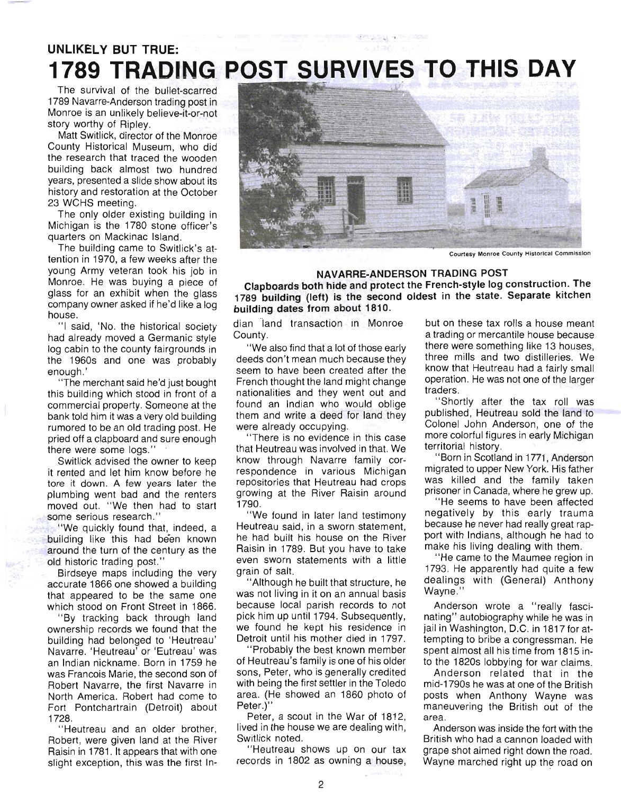# **UNLIKELY BUT TRUE: 1789 TRADING, POST SURVIVES TO THIS DAY**

The survival of the bullet-scarred 1789 Navarre-Anderson trading post in Monroe is an unlikely believe-it-or-not story worthy of Ripley.

Matt Switlick, director of the Monroe County Historical Museum, who did the research that traced the wooden building back almost two hundred years, presented a slide show about its history and restoration at the October 23 WCHS meeting.

The only older existing building in Michigan is the 1780 stone officer's quarters on Mackinac Island.

The building came to Switlick's attention in 1970, a few weeks after the young Army veteran took his job in Monroe. He was buying a piece of glass for an exhibit when the glass company owner asked if he'd like a log house.

"I said, 'No. the historical society had already moved a Germanic style log cabin to the county fairgrounds in the 1960s and one was probably enough.'

" The merchant said he'd just bought this building which stood in front of a commercial property. Someone at the bank told him it was a very old building rumored to be an old trading post. He pried off a clapboard and sure enough there were some logs."

Switlick advised the owner to keep it rented and let him know before he tore it down. A few years later the plumbing went bad and the renters moved out. "We then had to start some serious research."

. "We quickly found that, indeed, a building like this had been known around the turn of the century as the old historic trading post."

Birdseye maps including the very accurate 1866 one showed a building that appeared to be the same one which stood on Front Street in 1866.

"By tracking back through land ownership records we found that the building had belonged to 'Heutreau' Navarre. 'Heutreau' or 'Eutreau' was an Indian nickname. Born in 1759 he was Francois Marie, the second son of Robert Navarre, the first Navarre in North America. Robert had come to Fort Pontchartrain (Detroit) about 1728.

"Heutreau and an older brother, Robert, were given land at the River Raisin in 1781 . It appears that with one slight exception, this was the first In-



 $\sim$ 

**Courtesy Monroe County Historical Commission** 

#### **NAVARRE-ANDERSON TRADING POST**

**Clapboards both hide and protect the French-style log construction. The 1789 building (left) is the second oldest in the state. Separate kitchen building dates from about 1810.** 

dian "Iand transaction in Monroe . County.

"We also find that a lot of those early deeds don't mean much because they seem to have been created after the French thought the land might change nationalities and they went out and found an Indian who would oblige them and write a deed for land they were already occupying.

"There is no evidence in this case that Heutreau was involved in that. We know through Navarre family correspondence in various Michigan repositories that Heutreau had crops growing at the River Raisin around 1790.

"We found in later land testimony Heutreau said, in a sworn statement, he had built his house on the River Raisin in 1789. But you have to take even sworn statements with a little grain of salt.

"Although he built that structure, he was not living in it on an annual basis because local parish records to not pick him up until 1794. Subsequently, we found he kept his residence in Detroit until his mother died in 1797.

"Probably the best known member of Heutreau's family is one of his older sons, Peter, who is generally credited with being the first settler in the Toledo area. (He showed an 1860 photo of Peter.)"

Peter, a scout in the War of 1812, lived in the house we are dealing with, Switlick noted.

" Heutreau shows up on our tax records in 1802 as owning a house,

but on these tax rolls a house meant a trading or mercantile house because there were something like 13 houses, three mills and two distilleries. We know that Heutreau had a fairly small operation. He was not one of the larger traders.

"Shortly after the tax roll was published, Heutreau sold the land to Colonel John Anderson, one of the more colorful figures in early Michigan territorial history.

"Born in Scotland in 1771, Anderson migrated to upper New York. His father was killed and the family taken prisoner in Canada, where he grew up.

"He seems to have been affected negatively by this early trauma because he never had really great rapport with Indians, although he had to make his living dealing with them.

"He came to the Maumee region in 1793. He apparently had quite a few dealings with (General) Anthony Wayne."

Anderson wrote a "really fascinating" autobiography while he was in jail in Washington, D.C. in 1817 for attempting to bribe a congressman. He spent almost all his time from 1815 into the 1820s lobbying for war claims.

Anderson re lated that in the mid-1790s he was at one of the British posts when Anthony Wayne was maneuvering the British out of the area.

Anderson was inside the fort with the British who had a cannon loaded with grape shot aimed right down the road. Wayne marched right up the road on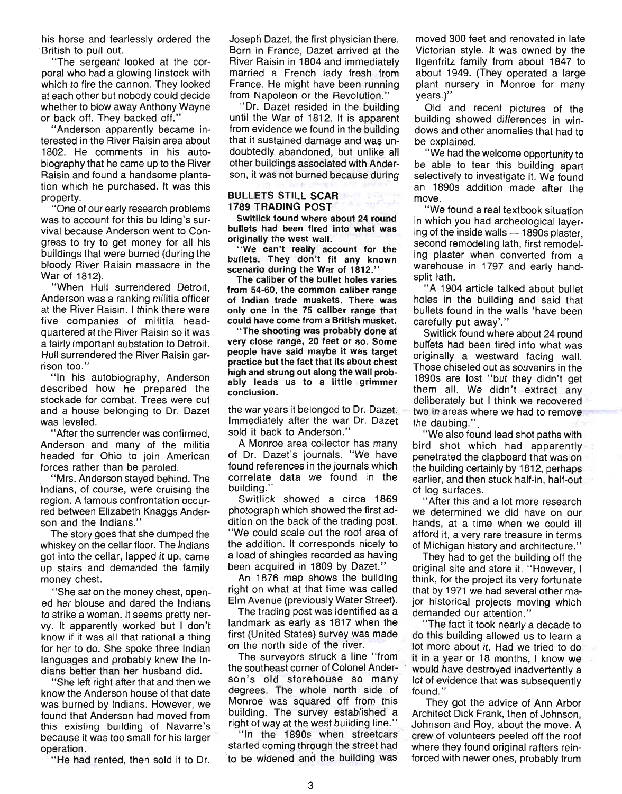his horse and fearlessly ordered the British to pull out.

"The sergeant looked at the corporal who had a glowing linstock with which to fire the cannon. They looked at each other but nobody could decide whether to blow away Anthony Wayne or back off. They backed off."

"Anderson apparently became interested in the River Raisin area about 1802. He comments in his autobiography that he came up to the River Raisin and found a handsome plantation which he purchased. It was this property.

"One of our early research problems was to account for this building's survival because Anderson went to Congress to try to get money for all his buildings that were burned (during the bloody River Raisin massacre in the War of 1812).

"When Hull surrendered Detroit, Anderson was a ranking militia officer at the River Raisin. I think there were five companies of militia headquartered at the River Raisin so it was a fairly important substation to Detroit. Hull surrendered the River Raisin garrison too."

"In his autobiography, Anderson described how he prepared the stockade for combat. Trees were cut and a house belonging to Dr. Dazet Was leveled.

"After the surrender was confirmed, Anderson and many of the militia headed for Ohio to join American forces rather than be paroled.

"Mrs. Anderson stayed behind. The Indians, of course, were cruising the region. A famous confrontation occurred between Elizabeth Knaggs Anderson and the Indians."

The story goes that she dumped the whiskey on the cellar floor. The Indians got into the cellar, lapped it up, came up stairs and demanded the family money chest. .

"She sat on the money chest, opened her blouse and dared the Indians to strike a woman. It seems pretty nervy. It apparently worked but I don't know if it was all that rational a thing for her to do. She spoke three Indian languages and probably knew the Indians better than her husband did.

"She left right after that and then we know the Anderson house of that date was burned by Indians. However, we found that Anderson had moved from this existing building of Navarre's because it was too small for his larger operation.

" He had rented, then sold it to Dr.

Joseph Dazet, the first physician there. Born in France, Dazet arrived at the River Raisin in 1804 and immediately married a French lady fresh from France. He might have been running from Napoleon or the Revolution."

"Dr. Dazet resided in the building until the War of 1812. It is apparent from evidence we found in the building that it sustained damage and was undoubtedly abandoned, but unlike all other buildings associated with Anderson, it was not burned because during

#### BULLETS STILL SCAR 1789 TRADING POST

Switlick found where about 24 round bullets had been fired into what was originally the west wall.

'We can't really account for the bullets. They don't fit any known scenario during the War of 1812."

The caliber of the bullet holes varies from 54-60, the common caliber range of Indian trade muskets. There was only one in the 75 caliber range that could have come from a British musket.

"The shooting was probably done at very close range, 20 feet or so. Some people have said maybe it was target practice but the fact that its about chest high and strung out along the wall probably leads us to a little grimmer conclusion.

the war years it belonged to Dr. Dazet. Immediately after the war Dr. Dazet sold it back to Anderson."

A Monroe area collector has many of Dr. Dazet's journals. "We have found references in the journals which correlate data we found in the building.'

Switlick showed a circa 1869 photograph which showed the first addition on the back of the trading post. "We could scale out the roof area of the addition. It corresponds nicely to a load of shingles recorded as having been acquired in 1809 by Dazet."

An 1876 map shows the building right on what at that time was called Elm Avenue (previously Water Street).

The trading post was identified as a landmark as early as 1817 when the first (United States) survey was made on the north side of the river.

The surveyors struck a line "from the southeast corner of Colonel Anderson's old storehouse so many degrees. The whole north side of Monroe was squared off from this building. The survey established a right of way at the west building line."

"In the 1890s when streetcars started coming through the street had to be widened and the building was

moved 300 feet and renovated in late Victorian style. It was owned by the Ilgenfritz family from about 1847 to about 1949. (They operated a large plant nursery in Monroe for many years.)"

Old and recent pictures of the building showed differences in windows and other anomalies that had to be explained.

"We had the welcome opportunity to be able to tear this building apart selectively to investigate it. We found an 1890s addition made after the move.

"We found a real textbook situation in which you had archeological layering of the inside walls  $-$  1890s plaster. second remodeling lath, first remodeling plaster when converted from a warehouse in 1797 and early handsplit lath.

"A 1904 article talked about bullet holes in the building and said that bullets found in the walls 'have been carefully put away'."

Switlick found where about 24 round bullets had been fired into what was originally a westward facing wall. Those chiseled out as souvenirs in the 1890s are lost "but they didn't get them all. We didn't extract any deliberately but I think we recovered two in areas where we had to remove the daubing.".

"We also found lead shot paths With bird shot which had apparently penetrated the clapboard that was on the building certainly by 1812, perhaps earlier, and then stuck half-in, half-out of log surfaces.

"After this and a lot more research we determined we did have on our hands, at a time when we could ill afford it, a very rare treasure in terms of Michigan history and architecture."

They had to get the building off the original site and store it. "However, I think, for the project its very fortunate that by 1971 we had several other major historical projects moving which demanded our attention."

"The fact it took nearly a decade to do this building allowed us to learn a lot more about it. Had we tried to do it in a year or 18 months, I know we . would have destroyed inadvertently a louid have about you madvertently a  $\frac{1}{10}$  of evidence that was sub found."<br>They got the advice of Ann Arbor

Architect Dick Frank, then of Johnson, Johnson and Roy, about the move. A crew of volunteers peeled off the roof where they found original rafters reinforced with newer ones, probably from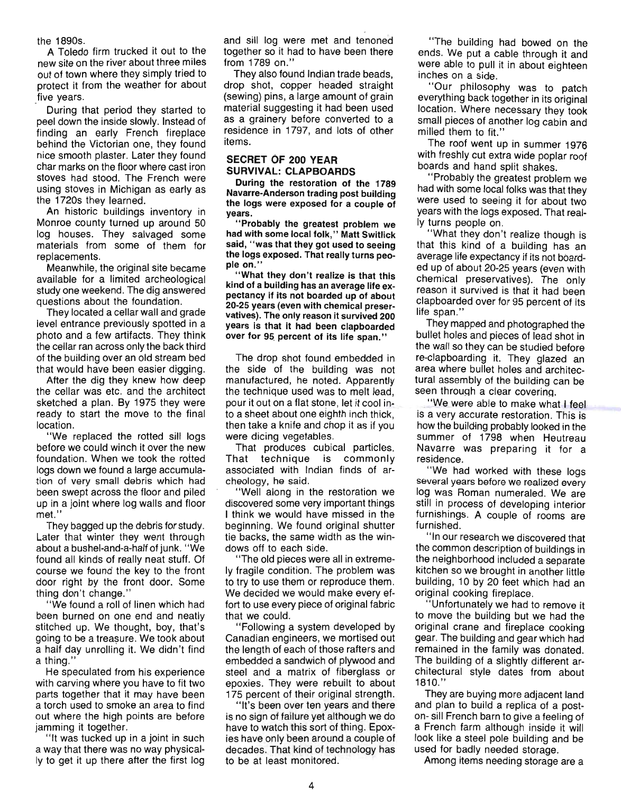the 1890s.

A Toledo firm trucked it out to the new site on the river about three miles out of town where they simply tried to protect it from the weather for about five years.

During that period they started to peel down the inside slowly. Instead of finding an early French fireplace behind the Victorian one, they found nice smooth plaster. Later they found char marks on the floor where cast iron stoves had stood. The French were using stoves in Michigan as early as the 1720s they learned.

An historic buildings inventory in Monroe county turned up around 50 log houses. They salvaged some materials from some of them for replacements.

Meanwhile, the original site became available for a limited archeological study one weekend. The dig answered questions about the foundation.

They located a cellar wall and grade level entrance previously spotted in a photo and a few artifacts. They think the cellar ran across only the back third of the building over an old stream bed that would have been easier digging.

After the dig they knew how deep the cellar was etc. and the architect sketched a plan. By 1975 they were ready to start the move to the final location.

"We replaced the rotted sill logs before we could winch it over the new foundation. When we took the rotted logs down we found a large accumulation of very small debris which had been swept across the floor and piled up in a joint where log walls and floor met.'

They bagged up the debris for study. Later that winter they went through about a bushel-and-a-half of junk. " We found all kinds of really neat stuff. Of course we found the key to the front door right by the front door. Some thing don't change."

"We found a roll of linen which had been burned on one end and neatly stitched up. We thought, boy, that's going to be a treasure. We took about a half day unrolling it. We didn't find a thing."

He speculated from his experience with carving where you have to fit two parts together that it may have been a torch used to smoke an area to find out where the high points are before jamming it together.

"It was tucked up in a joint in such a way that there was no way physically to get it up there after the first log and sill log were met and tenoned together so it had to have been there from 1789 on."

They also found Indian trade beads, drop shot, copper headed straight (sewing) pins, a large amount of grain material suggesting it had been used as a grainery before converted to a residence in 1797, and lots of other items.

#### SECRET OF 200 YEAR SURVIVAL: CLAPBOARDS

During the restoration of the 1789 Navarre-Anderson trading post building the logs were exposed for a couple of years.

"Probably the greatest problem we had with some local folk," Matt Switlick said, "was that they got used to seeing the logs exposed. That really turns people on."

"What they don't realize is that this kind of a building has an average life expectancy if its not boarded up of about 20-25 years (even with chemical preservatives). The only reason it survived 200 years is that it had been clapboarded over for 95 percent of its life span."

The drop shot found embedded in the side of the building was not manufactured, he noted. Apparently the technique used was to melt lead, pour it out on a flat stone, let it cool into a sheet about one eighth inch thick, then take a knife and chop it as if you were dicing vegetables.

That produces cubical particles. That technique is commonly associated with Indian finds of archeology, he said.

" Well along in the restoration we discovered some very important things I think we would have missed in the beginning. We found original shutter tie backs, the same width as the windows off to each side.

"The old pieces were all in extremely fragile condition. The problem was to try to use them or reproduce them. We decided we would make every effort to use every piece of original fabric that we could.

"Following a system developed by Canadian engineers, we mortised out the length of each of those rafters and embedded a sandwich of plywood and steel and a matrix of fiberglass or epoxies. They were rebuilt to about 175 percent of their original strength.

"It's been over ten years and there is no sign of failure yet although we do have to watch this sort of thing. Epoxies have only been around a couple of decades. That kind of technology has to be at least monitored.

" The building had bowed on the ends. We put a cable through it and were able to pull it in about eighteen inches on a side.

"Our philosophy was to patch everything back together in its original location. Where necessary they took small pieces of another log cabin and milled them to fit."

The roof went up in summer 1976 with freshly cut extra wide poplar roof boards and hand split shakes.

"Probably the greatest problem we had with some local folks was that they were used to seeing it for about two years with the logs exposed. That really turns people on.

" What they don't realize though is that this kind of a building has an average life expectancy if its not boarded up of about 20-25 years (even with chemical preservatives). The only reason it survived is that it had been clapboarded over for 95 percent of its life span."

They mapped and photographed the bullet holes and pieces of lead shot in the wall so they can be studied before re-clapboarding it. They glazed an area where bullet holes and architectural assembly of the building can be seen through a clear covering.

. We were able to make what I feel is a very accurate restoration. This is how the building probably looked in the summer of 1798 when Heutreau Navarre was preparing it for a residence.

" We had worked with these logs several years before we realized every log was Roman numeraled. We are still in process of developing interior furnishings. A couple of rooms are furnished.

" In our research we discovered that the common description of buildings in the neighborhood included a separate kitchen so we brought in another little building, 10 by 20 feet which had an original cooking fireplace.

"Unfortunately we had to remove it to move the building but we had the original crane and fireplace cooking gear. The building and gear which had remained in the family was donated. The building of a slightly different architectural style dates from about 1810."

They are buying more adjacent land and plan to build a replica of a poston- sill French barn to give a feeling of a French farm although inside it will look like a steel pole building and be used for badly needed storage.

Among items needing storage are a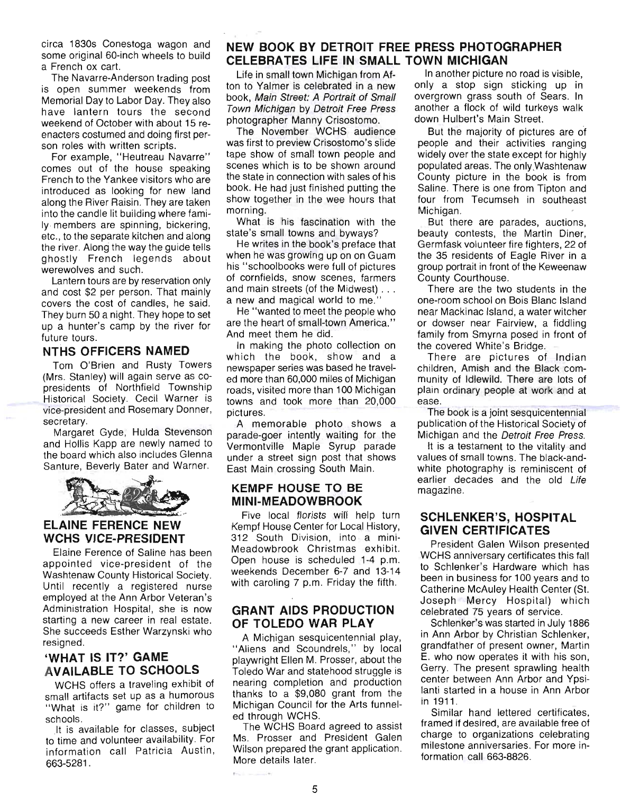circa 1830s Conestoga wagon and some original 60-inch wheels to build a French ox cart.

The Navarre-Anderson trading post is open summer weekends from Memorial Day to Labor Day. They also have lantern tours the second weekend of October with about 15 reenacters costumed and doing first person roles with written scripts.

For example, "Heutreau Navarre" comes out of the house speaking French to the Yankee visitors who are introduced as looking for new land along the River Raisin. They are taken into the candle lit building where family members are spinning, bickering, etc., to the separate kitchen and along the river. Along the way the guide tells ghostly French legends about werewolves and such.

Lantern tours are by reservation only and cost \$2 per person. That mainly covers the cost of candles, he said. They burn 50 a night. They hope to set up a hunter's camp by the river for future tours.

### **'NTHS OFFICERS NAMED**

Tom O'Brien and Rusty Towers (Mrs. Stanley) will again serve as copresidents of Northfield Township Historical Society. Cecil Warner is vice-president and Rosemary Donner, secretary.

Margaret Gyde, Hulda Stevenson and Hollis Kapp are newly named to the board which also includes Glenna Santure, Beverly Bater and Warner.



# **WCHS VICE-PRESIDENT**

Elaine Ference of Saline has been appointed vice-president of the Washtenaw County Historical Society. Until recently a registered nurse employed at the Ann Arbor Veteran 's Administration Hospital, she is now starting a new career in real estate. She succeeds Esther Warzynski who resigned.

# **'WHAT IS IT?' GAME AVAILABLE TO SCHOOLS**

WCHS offers a traveling exhibit of small artifacts set up as a humorous "What is it?" game for children to schools.

It is available for classes, subject to time and volunteer availability. For information call Patricia Austin, 663-5281.

# **NEW BOOK BY DETROIT FREE PRESS PHOTOGRAPHER CELEBRATES LIFE IN SMALL TOWN MICHIGAN**

Life in small town Michigan from Afton to Yalmer is celebrated in a new book, Main Street: A Portrait of Small Town Michigan by Detroit Free Press photographer Manny Crisostomo.

The November WCHS audience was first to preview Crisostomo's slide tape show of small town people and scenes which is to be shown around the state in connection with sales of his book. He had just finished putting the show together in the wee hours that morning.

What is his fascination with the state's small towns and byways?

He writes in the book's preface that when he was growing up on on Guam his "schoolbooks were full of pictures of cornfields, snow scenes, farmers and main streets (of the Midwest) . .. a new and magical world to me."

He "wanted to meet the people who are the heart of small-town America." And meet them he did.

In making the photo collection on which the book, show and a newspaper series was based he traveled more than 60,000 miles of Michigan roads, visited more than 100 Michigan towns and took more than 20,000 pictures.

A memorable photo shows a parade-goer intently waiting for the Vermontville Maple Syrup parade under a street sign post that shows East Main crossing South Main.

#### **KEMPF HOUSE TO BE MINI-MEADOWBROOK**

Five local florists will help turn Kempf House Center for Local History, 312 South Division, into a mini-Meadowbrook Christmas exhibit. Open house is scheduled 1-4 p.m. weekends December 6-7 and 13-14 with caroling 7 p.m. Friday the fifth.

#### **GRANT AIDS PRODUCTION OF TOLEDO WAR PLAY**

A Michigan sesquicentennial play, "Aliens and Scoundrels," by local playwright Ellen M. Prosser, about the Toledo War and statehood struggle is nearing completion and production thanks to a \$9,080 grant from the Michigan Council for the Arts funneled through WCHS.

The WCHS Board agreed to assist Ms. Prosser and President Galen Wilson prepared the grant application. More details later.

In another picture no road is visible, only a stop sign sticking up in overgrown grass south of Sears. In another a flock of wild turkeys walk down Hulbert's Main Street.

But the majority of pictures are of people and their activities ranging widely over the state except for highly populated areas. The only Washtenaw County picture in the book is from Saline. There is one from Tipton and four from Tecumseh in southeast Michigan.

But there are parades, auctions, beauty contests, the Martin Diner, Germfask volunteer fire fighters, 22 of the 35 residents of Eagle River in a group portrait in front of the Keweenaw County Courthouse.

There are the two students in the one-room school on Bois Blanc Island near Mackinac Island, a water witcher or dowser near Fairview, a fiddling family from Smyrna posed in front of the covered White's Bridge.

There are pictures of Indian children, Amish and the Black community of Idlewild. There are lots of plain ordinary people at work and at ease.

The book is a joint sesquicentennial publication of the Historical Society of Michigan and the Detroit Free Press.

It is a testament to the vitality and values of small towns. The black-andwhite photography is reminiscent of earlier decades and the old Life magazine.

## **SCHLENKER'S, HOSPITAL GIVEN CERTIFICATES**

President Galen Wilson presented WCHS anniversary certificates this fall to Schlenker's Hardware which has been in business for 100 years and to Catherine McAuley Health Center (St. Joseph Mercy Hospital) which celebrated 75 years of service.

Schlenker's was started in July 1886 in Ann Arbor by Christian Schlenker, grandfather of present owner, Martin E. who now operates it with his son, Gerry. The present sprawling health center between Ann Arbor and Ypsilanti started in a house in Ann Arbor in 1911.

Similar hand lettered certificates, framed if deSired, are available free of charge to organizations celebrating milestone anniversaries. For more information call 663-8826.